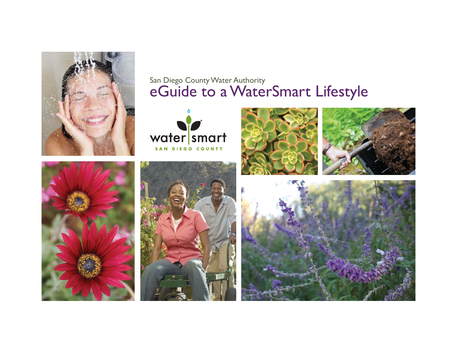

## San Diego County Water Authority eGuide to a WaterSmart Lifestyle